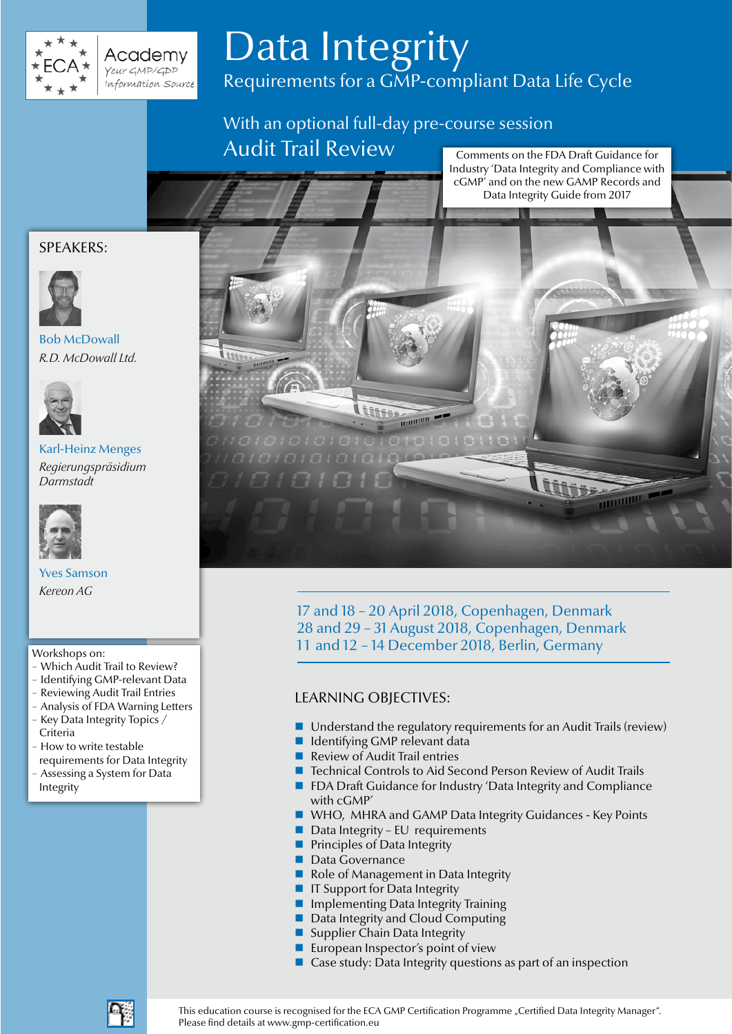

# Data Integrity Requirements for a GMP-compliant Data Life Cycle

With an optional full-day pre-course session Audit Trail Review

Comments on the FDA Draft Guidance for Industry 'Data Integrity and Compliance with cGMP' and on the new GAMP Records and Data Integrity Guide from 2017

# SPEAKERS:



# Bob McDowall *R.D. McDowall Ltd.*



Karl-Heinz Menges *Regierungspräsidium Darmstadt*



Yves Samson *Kereon AG*

#### Workshops on:

- Which Audit Trail to Review?
- Identifying GMP-relevant Data
- Reviewing Audit Trail Entries
- Analysis of FDA Warning Letters
- Key Data Integrity Topics / Criteria
- How to write testable requirements for Data Integrity
- Assessing a System for Data Integrity



17 and 18 – 20 April 2018, Copenhagen, Denmark 28 and 29 – 31 August 2018, Copenhagen, Denmark 11 and 12 - 14 December 2018, Berlin, Germany

# LEARNING OBJECTIVES:

- $\blacksquare$  Understand the regulatory requirements for an Audit Trails (review)
- **I** Identifying GMP relevant data
- Review of Audit Trail entries
- Technical Controls to Aid Second Person Review of Audit Trails
- FDA Draft Guidance for Industry 'Data Integrity and Compliance with cGMP'
- WHO, MHRA and GAMP Data Integrity Guidances Key Points
- $\blacksquare$  Data Integrity EU requirements
- **Principles of Data Integrity**
- **Data Governance**
- Role of Management in Data Integrity
- **IF Support for Data Integrity**
- **Implementing Data Integrity Training**
- Data Integrity and Cloud Computing
- Supplier Chain Data Integrity
- **European Inspector's point of view**
- Case study: Data Integrity questions as part of an inspection



This education course is recognised for the ECA GMP Certification Programme "Certified Data Integrity Manager". Please find details at www.gmp-certification.eu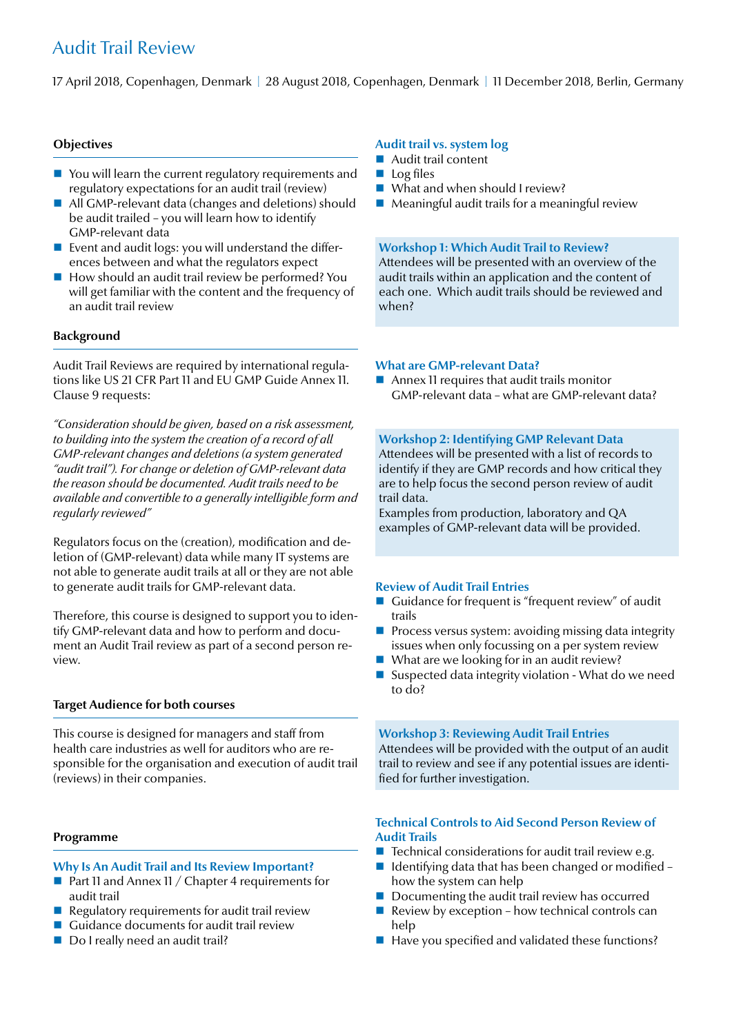# Audit Trail Review

17 April 2018, Copenhagen, Denmark | 28 August 2018, Copenhagen, Denmark | 11 December 2018, Berlin, Germany

#### **Objectives**

- You will learn the current regulatory requirements and regulatory expectations for an audit trail (review)
- All GMP-relevant data (changes and deletions) should be audit trailed – you will learn how to identify GMP-relevant data
- **Exent and audit logs: you will understand the differ**ences between and what the regulators expect
- How should an audit trail review be performed? You will get familiar with the content and the frequency of an audit trail review

#### **Background**

Audit Trail Reviews are required by international regulations like US 21 CFR Part 11 and EU GMP Guide Annex 11. Clause 9 requests:

*"Consideration should be given, based on a risk assessment, to building into the system the creation of a record of all GMP-relevant changes and deletions (a system generated "audit trail"). For change or deletion of GMP-relevant data the reason should be documented. Audit trails need to be available and convertible to a generally intelligible form and regularly reviewed"*

Regulators focus on the (creation), modification and deletion of (GMP-relevant) data while many IT systems are not able to generate audit trails at all or they are not able to generate audit trails for GMP-relevant data.

Therefore, this course is designed to support you to identify GMP-relevant data and how to perform and document an Audit Trail review as part of a second person review.

#### **Target Audience for both courses**

This course is designed for managers and staff from health care industries as well for auditors who are responsible for the organisation and execution of audit trail (reviews) in their companies.

#### **Programme**

#### **Why Is An Audit Trail and Its Review Important?**

- **Part 11 and Annex 11 / Chapter 4 requirements for** audit trail
- $\blacksquare$  Regulatory requirements for audit trail review
- Guidance documents for audit trail review
- Do I really need an audit trail?

#### **Audit trail vs. system log**

- **Audit trail content**
- $\blacksquare$  Log files
- What and when should I review?
- $\blacksquare$  Meaningful audit trails for a meaningful review

#### **Workshop 1: Which Audit Trail to Review?**

Attendees will be presented with an overview of the audit trails within an application and the content of each one. Which audit trails should be reviewed and when?

#### **What are GMP-relevant Data?**

■ Annex 11 requires that audit trails monitor GMP-relevant data – what are GMP-relevant data?

#### **Workshop 2: Identifying GMP Relevant Data**

Attendees will be presented with a list of records to identify if they are GMP records and how critical they are to help focus the second person review of audit trail data.

Examples from production, laboratory and QA examples of GMP-relevant data will be provided.

#### **Review of Audit Trail Entries**

- Guidance for frequent is "frequent review" of audit trails
- **Process versus system: avoiding missing data integrity** issues when only focussing on a per system review
- What are we looking for in an audit review?
- Suspected data integrity violation What do we need to do?

**Workshop 3: Reviewing Audit Trail Entries** Attendees will be provided with the output of an audit trail to review and see if any potential issues are identified for further investigation.

#### **Technical Controls to Aid Second Person Review of Audit Trails**

- $\blacksquare$  Technical considerations for audit trail review e.g.
- I Identifying data that has been changed or modified how the system can help
- Documenting the audit trail review has occurred
- Review by exception how technical controls can help
- Have you specified and validated these functions?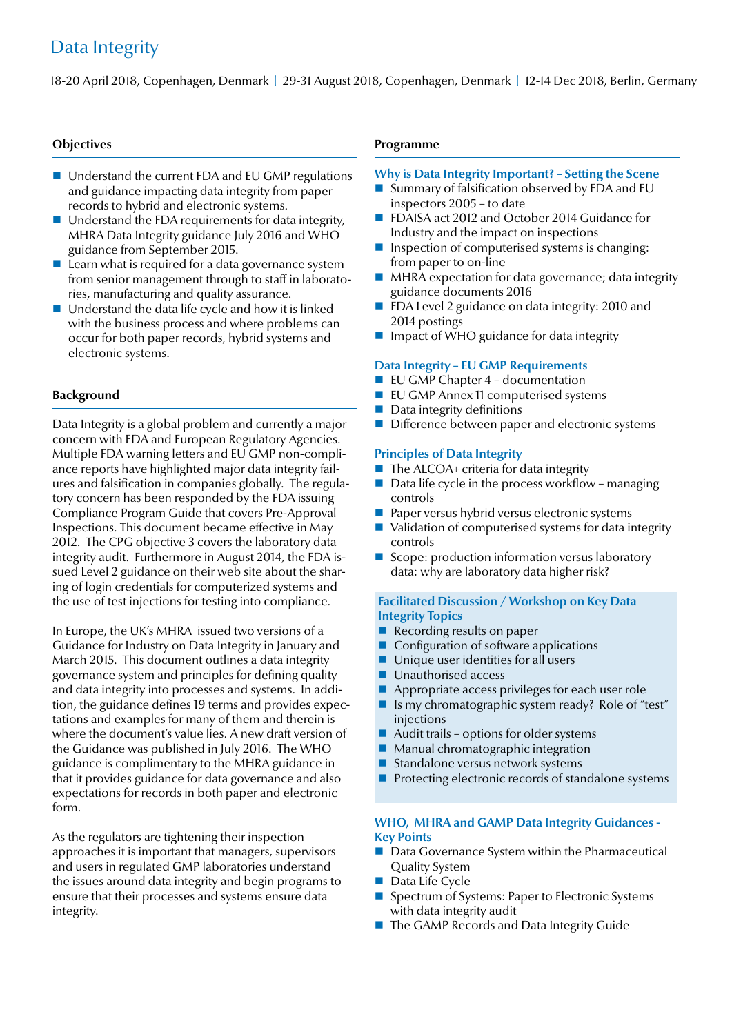# Data Integrity

18-20 April 2018, Copenhagen, Denmark | 29-31 August 2018, Copenhagen, Denmark | 12-14 Dec 2018, Berlin, Germany

#### **Objectives**

- Understand the current FDA and EU GMP regulations and guidance impacting data integrity from paper records to hybrid and electronic systems.
- Understand the FDA requirements for data integrity, MHRA Data Integrity guidance July 2016 and WHO guidance from September 2015.
- $\blacksquare$  Learn what is required for a data governance system from senior management through to staff in laboratories, manufacturing and quality assurance.
- Understand the data life cycle and how it is linked with the business process and where problems can occur for both paper records, hybrid systems and electronic systems.

#### **Background**

Data Integrity is a global problem and currently a major concern with FDA and European Regulatory Agencies. Multiple FDA warning letters and EU GMP non-compliance reports have highlighted major data integrity failures and falsification in companies globally. The regulatory concern has been responded by the FDA issuing Compliance Program Guide that covers Pre-Approval Inspections. This document became effective in May 2012. The CPG objective 3 covers the laboratory data integrity audit. Furthermore in August 2014, the FDA issued Level 2 guidance on their web site about the sharing of login credentials for computerized systems and the use of test injections for testing into compliance.

In Europe, the UK's MHRA issued two versions of a Guidance for Industry on Data Integrity in January and March 2015. This document outlines a data integrity governance system and principles for defining quality and data integrity into processes and systems. In addition, the guidance defines 19 terms and provides expectations and examples for many of them and therein is where the document's value lies. A new draft version of the Guidance was published in July 2016. The WHO guidance is complimentary to the MHRA guidance in that it provides guidance for data governance and also expectations for records in both paper and electronic form.

As the regulators are tightening their inspection approaches it is important that managers, supervisors and users in regulated GMP laboratories understand the issues around data integrity and begin programs to ensure that their processes and systems ensure data integrity.

#### **Programme**

#### **Why is Data Integrity Important? – Setting the Scene**

- Summary of falsification observed by FDA and EU inspectors 2005 – to date
- FDAISA act 2012 and October 2014 Guidance for Industry and the impact on inspections
- **I** Inspection of computerised systems is changing: from paper to on-line
- **MHRA** expectation for data governance; data integrity guidance documents 2016
- FDA Level 2 guidance on data integrity: 2010 and 2014 postings
- **I** Impact of WHO guidance for data integrity

#### **Data Integrity – EU GMP Requirements**

- EU GMP Chapter 4 documentation
- **EU GMP Annex 11 computerised systems**
- $\blacksquare$  Data integrity definitions
- Difference between paper and electronic systems

#### **Principles of Data Integrity**

- $\blacksquare$  The ALCOA+ criteria for data integrity
- $\blacksquare$  Data life cycle in the process workflow managing controls
- $\blacksquare$  Paper versus hybrid versus electronic systems
- Validation of computerised systems for data integrity controls
- Scope: production information versus laboratory data: why are laboratory data higher risk?

#### **Facilitated Discussion / Workshop on Key Data Integrity Topics**

- Recording results on paper
- Configuration of software applications
- Unique user identities for all users
- **Unauthorised access**
- Appropriate access privileges for each user role
- Is my chromatographic system ready? Role of "test" injections
- $\blacksquare$  Audit trails options for older systems
- **Manual chromatographic integration**
- Standalone versus network systems
- $\blacksquare$  Protecting electronic records of standalone systems

#### **WHO, MHRA and GAMP Data Integrity Guidances - Key Points**

- Data Governance System within the Pharmaceutical Quality System
- $\blacksquare$  Data Life Cycle
- Spectrum of Systems: Paper to Electronic Systems with data integrity audit
- The GAMP Records and Data Integrity Guide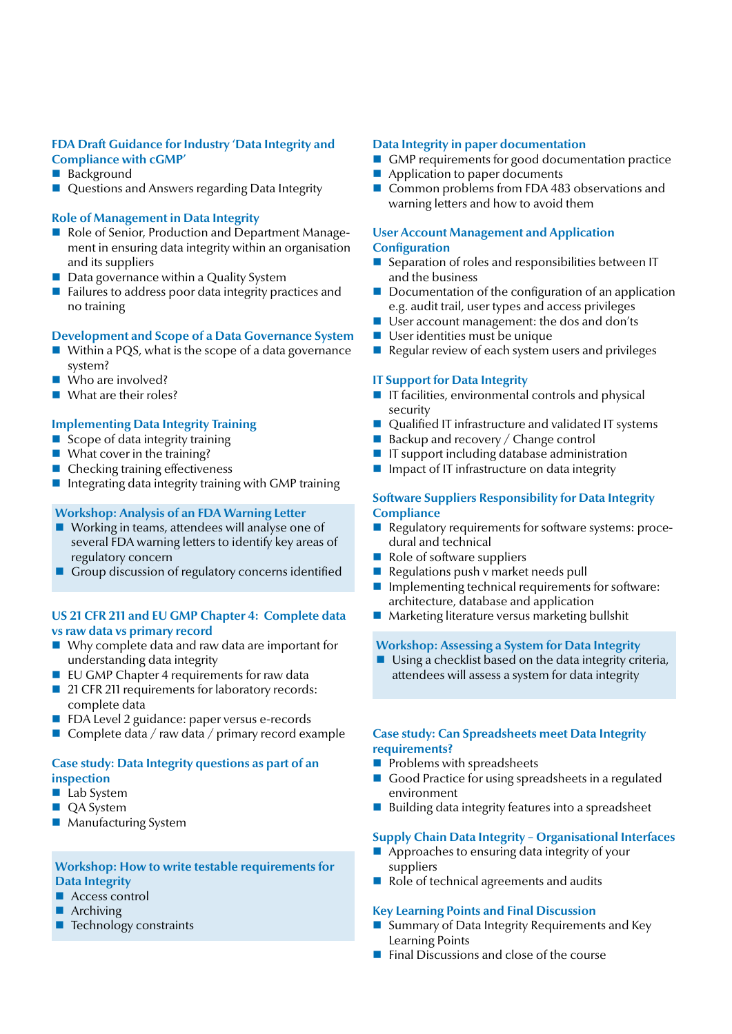# **FDA Draft Guidance for Industry 'Data Integrity and Compliance with cGMP'**

- Background
- Questions and Answers regarding Data Integrity

#### **Role of Management in Data Integrity**

- Role of Senior, Production and Department Management in ensuring data integrity within an organisation and its suppliers
- Data governance within a Quality System
- $\blacksquare$  Failures to address poor data integrity practices and no training

#### **Development and Scope of a Data Governance System**

- Within a PQS, what is the scope of a data governance system?
- Who are involved?
- What are their roles?

#### **Implementing Data Integrity Training**

- $\blacksquare$  Scope of data integrity training
- $\blacksquare$  What cover in the training?
- Checking training effectiveness
- Integrating data integrity training with GMP training

#### **Workshop: Analysis of an FDA Warning Letter**

- Working in teams, attendees will analyse one of several FDA warning letters to identify key areas of regulatory concern
- Group discussion of regulatory concerns identified

#### **US 21 CFR 211 and EU GMP Chapter 4: Complete data vs raw data vs primary record**

- Why complete data and raw data are important for understanding data integrity
- $\blacksquare$  EU GMP Chapter 4 requirements for raw data
- 21 CFR 211 requirements for laboratory records: complete data
- FDA Level 2 guidance: paper versus e-records
- Complete data / raw data / primary record example

# **Case study: Data Integrity questions as part of an inspection**

- **Lab System**
- QA System
- Manufacturing System

# **Workshop: How to write testable requirements for Data Integrity**

- Access control
- Archiving
- Technology constraints

#### **Data Integrity in paper documentation**

- GMP requirements for good documentation practice
- Application to paper documents
- Common problems from FDA 483 observations and warning letters and how to avoid them

#### **User Account Management and Application Configuration**

- Separation of roles and responsibilities between IT and the business
- $\blacksquare$  Documentation of the configuration of an application e.g. audit trail, user types and access privileges
- User account management: the dos and don'ts
- **User identities must be unique**
- Regular review of each system users and privileges

#### **IT Support for Data Integrity**

- $\blacksquare$  IT facilities, environmental controls and physical security
- Qualified IT infrastructure and validated IT systems
- $\blacksquare$  Backup and recovery / Change control
- $\blacksquare$  IT support including database administration
- $\blacksquare$  Impact of IT infrastructure on data integrity

#### **Software Suppliers Responsibility for Data Integrity Compliance**

- Regulatory requirements for software systems: procedural and technical
- Role of software suppliers
- Regulations push v market needs pull
- $\blacksquare$  Implementing technical requirements for software: architecture, database and application
- Marketing literature versus marketing bullshit

#### **Workshop: Assessing a System for Data Integrity**

 $\blacksquare$  Using a checklist based on the data integrity criteria, attendees will assess a system for data integrity

#### **Case study: Can Spreadsheets meet Data Integrity requirements?**

- **Problems with spreadsheets**
- Good Practice for using spreadsheets in a regulated environment
- $\blacksquare$  Building data integrity features into a spreadsheet

# **Supply Chain Data Integrity – Organisational Interfaces**

- Approaches to ensuring data integrity of your suppliers
- Role of technical agreements and audits

# **Key Learning Points and Final Discussion**

- Summary of Data Integrity Requirements and Key Learning Points
- $\blacksquare$  Final Discussions and close of the course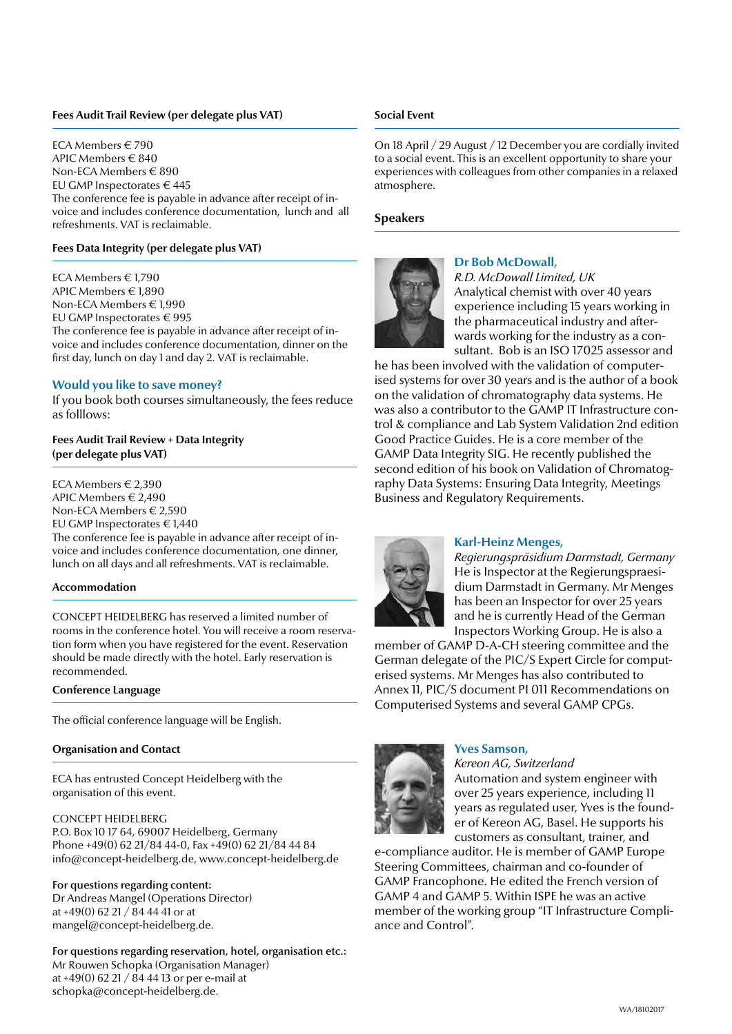#### **Fees Audit Trail Review (per delegate plus VAT)**

ECA Members € 790 APIC Members € 840 Non-ECA Members € 890 EU GMP Inspectorates € 445 The conference fee is payable in advance after receipt of invoice and includes conference documentation, lunch and all refreshments. VAT is reclaimable.

#### **Fees Data Integrity (per delegate plus VAT)**

ECA Members € 1,790 APIC Members € 1,890 Non-ECA Members € 1,990 EU GMP Inspectorates € 995 The conference fee is payable in advance after receipt of invoice and includes conference documentation, dinner on the first day, lunch on day 1 and day 2. VAT is reclaimable.

#### **Would you like to save money?**

If you book both courses simultaneously, the fees reduce as folllows:

#### **Fees Audit Trail Review + Data Integrity (per delegate plus VAT)**

ECA Members € 2,390 APIC Members € 2,490 Non-ECA Members € 2,590 EU GMP Inspectorates € 1,440 The conference fee is payable in advance after receipt of invoice and includes conference documentation, one dinner, lunch on all days and all refreshments. VAT is reclaimable.

#### **Accommodation**

CONCEPT HEIDELBERG has reserved a limited number of rooms in the conference hotel. You will receive a room reservation form when you have registered for the event. Reservation should be made directly with the hotel. Early reservation is recommended.

#### **Conference Language**

The official conference language will be English.

#### **Organisation and Contact**

ECA has entrusted Concept Heidelberg with the organisation of this event.

#### CONCEPT HEIDELBERG

P.O. Box 10 17 64, 69007 Heidelberg, Germany Phone +49(0) 62 21/84 44-0, Fax +49(0) 62 21/84 44 84 info@concept-heidelberg.de, www.concept-heidelberg.de

#### For questions regarding content:

Dr Andreas Mangel (Operations Director) at +49(0) 62 21 / 84 44 41 or at mangel@concept-heidelberg.de.

For questions regarding reservation, hotel, organisation etc.: Mr Rouwen Schopka (Organisation Manager) at +49(0) 62 21 / 84 44 13 or per e-mail at schopka@concept-heidelberg.de.

#### **Social Event**

On 18 April / 29 August / 12 December you are cordially invited to a social event. This is an excellent opportunity to share your experiences with colleagues from other companies in a relaxed atmosphere.

#### **Speakers**



# **Dr Bob McDowall,**

*R.D. McDowall Limited, UK* Analytical chemist with over 40 years experience including 15 years working in the pharmaceutical industry and afterwards working for the industry as a consultant. Bob is an ISO 17025 assessor and

he has been involved with the validation of computerised systems for over 30 years and is the author of a book on the validation of chromatography data systems. He was also a contributor to the GAMP IT Infrastructure control & compliance and Lab System Validation 2nd edition Good Practice Guides. He is a core member of the GAMP Data Integrity SIG. He recently published the second edition of his book on Validation of Chromatography Data Systems: Ensuring Data Integrity, Meetings Business and Regulatory Requirements.



#### **Karl-Heinz Menges,**

*Regierungspräsidium Darmstadt, Germany* He is Inspector at the Regierungspraesidium Darmstadt in Germany. Mr Menges has been an Inspector for over 25 years and he is currently Head of the German Inspectors Working Group. He is also a

member of GAMP D-A-CH steering committee and the German delegate of the PIC/S Expert Circle for computerised systems. Mr Menges has also contributed to Annex 11, PIC/S document PI 011 Recommendations on Computerised Systems and several GAMP CPGs.



#### **Yves Samson,**

*Kereon AG, Switzerland*

Automation and system engineer with over 25 years experience, including 11 years as regulated user, Yves is the founder of Kereon AG, Basel. He supports his customers as consultant, trainer, and

e-compliance auditor. He is member of GAMP Europe Steering Committees, chairman and co-founder of GAMP Francophone. He edited the French version of GAMP 4 and GAMP 5. Within ISPE he was an active member of the working group "IT Infrastructure Compliance and Control".